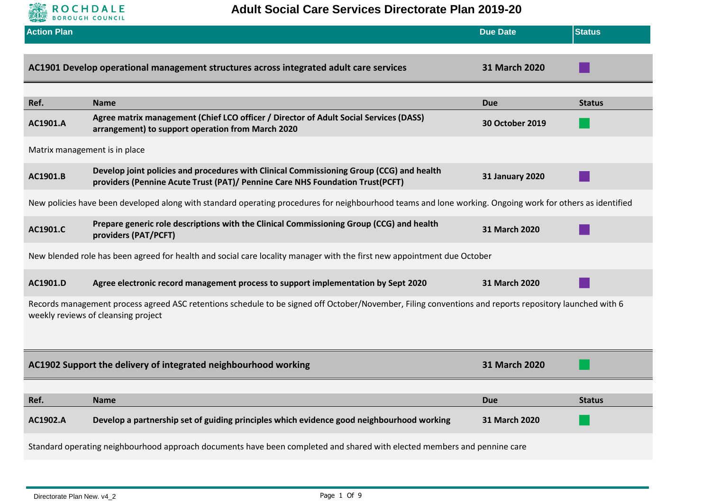

| <b>Action Plan</b>                                                                                                                                                                            |                                                                                                                                                                           | <b>Due Date</b>        | <b>Status</b> |
|-----------------------------------------------------------------------------------------------------------------------------------------------------------------------------------------------|---------------------------------------------------------------------------------------------------------------------------------------------------------------------------|------------------------|---------------|
|                                                                                                                                                                                               | AC1901 Develop operational management structures across integrated adult care services                                                                                    | 31 March 2020          |               |
|                                                                                                                                                                                               |                                                                                                                                                                           |                        |               |
| Ref.                                                                                                                                                                                          | <b>Name</b>                                                                                                                                                               | <b>Due</b>             | <b>Status</b> |
| AC1901.A                                                                                                                                                                                      | Agree matrix management (Chief LCO officer / Director of Adult Social Services (DASS)<br>arrangement) to support operation from March 2020                                | <b>30 October 2019</b> |               |
| Matrix management is in place                                                                                                                                                                 |                                                                                                                                                                           |                        |               |
| AC1901.B                                                                                                                                                                                      | Develop joint policies and procedures with Clinical Commissioning Group (CCG) and health<br>providers (Pennine Acute Trust (PAT)/ Pennine Care NHS Foundation Trust(PCFT) | <b>31 January 2020</b> |               |
|                                                                                                                                                                                               | New policies have been developed along with standard operating procedures for neighbourhood teams and lone working. Ongoing work for others as identified                 |                        |               |
| AC1901.C                                                                                                                                                                                      | Prepare generic role descriptions with the Clinical Commissioning Group (CCG) and health<br>providers (PAT/PCFT)                                                          | 31 March 2020          |               |
| New blended role has been agreed for health and social care locality manager with the first new appointment due October                                                                       |                                                                                                                                                                           |                        |               |
| AC1901.D                                                                                                                                                                                      | Agree electronic record management process to support implementation by Sept 2020                                                                                         | 31 March 2020          |               |
| Records management process agreed ASC retentions schedule to be signed off October/November, Filing conventions and reports repository launched with 6<br>weekly reviews of cleansing project |                                                                                                                                                                           |                        |               |
|                                                                                                                                                                                               | AC1902 Support the delivery of integrated neighbourhood working                                                                                                           | 31 March 2020          |               |
|                                                                                                                                                                                               |                                                                                                                                                                           |                        |               |
| Ref.                                                                                                                                                                                          | <b>Name</b>                                                                                                                                                               | <b>Due</b>             | <b>Status</b> |
| AC1902.A                                                                                                                                                                                      | Develop a partnership set of guiding principles which evidence good neighbourhood working                                                                                 | 31 March 2020          |               |
|                                                                                                                                                                                               | Standard operating neighbourhood approach documents have been completed and shared with elected members and pennine care                                                  |                        |               |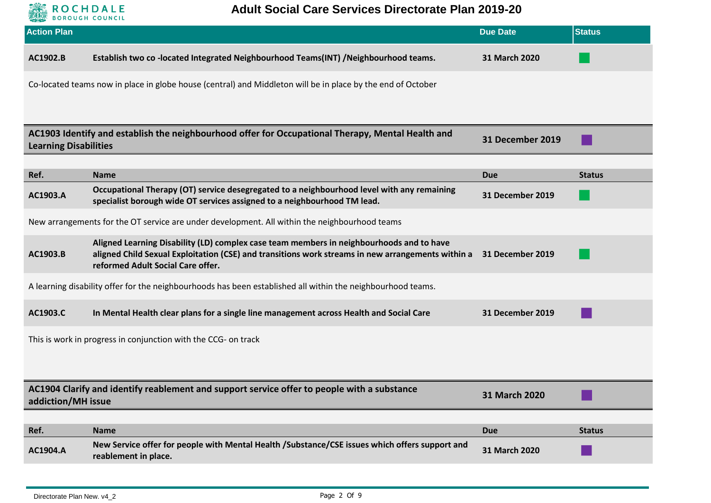

## **Adult Social Care Services Directorate Plan 2019-20**

| <b>Action Plan</b> |                                                                                                                                                                                                                                    | <b>Due Date</b>         | <b>Status</b> |
|--------------------|------------------------------------------------------------------------------------------------------------------------------------------------------------------------------------------------------------------------------------|-------------------------|---------------|
| AC1902.B           | Establish two co-located Integrated Neighbourhood Teams(INT) /Neighbourhood teams.                                                                                                                                                 | 31 March 2020           |               |
|                    | Co-located teams now in place in globe house (central) and Middleton will be in place by the end of October                                                                                                                        |                         |               |
|                    |                                                                                                                                                                                                                                    |                         |               |
|                    | AC1903 Identify and establish the neighbourhood offer for Occupational Therapy, Mental Health and<br><b>Learning Disabilities</b>                                                                                                  |                         |               |
|                    |                                                                                                                                                                                                                                    |                         |               |
| Ref.               | <b>Name</b>                                                                                                                                                                                                                        | <b>Due</b>              | <b>Status</b> |
| AC1903.A           | Occupational Therapy (OT) service desegregated to a neighbourhood level with any remaining<br>specialist borough wide OT services assigned to a neighbourhood TM lead.                                                             | <b>31 December 2019</b> |               |
|                    | New arrangements for the OT service are under development. All within the neighbourhood teams                                                                                                                                      |                         |               |
| AC1903.B           | Aligned Learning Disability (LD) complex case team members in neighbourhoods and to have<br>aligned Child Sexual Exploitation (CSE) and transitions work streams in new arrangements within a<br>reformed Adult Social Care offer. | <b>31 December 2019</b> |               |
|                    | A learning disability offer for the neighbourhoods has been established all within the neighbourhood teams.                                                                                                                        |                         |               |
| AC1903.C           | In Mental Health clear plans for a single line management across Health and Social Care                                                                                                                                            | <b>31 December 2019</b> |               |
|                    | This is work in progress in conjunction with the CCG- on track                                                                                                                                                                     |                         |               |
| addiction/MH issue | AC1904 Clarify and identify reablement and support service offer to people with a substance                                                                                                                                        | 31 March 2020           |               |
|                    |                                                                                                                                                                                                                                    |                         |               |
| Ref.               | <b>Name</b>                                                                                                                                                                                                                        | <b>Due</b>              | <b>Status</b> |
| AC1904.A           | New Service offer for people with Mental Health /Substance/CSE issues which offers support and<br>reablement in place.                                                                                                             | 31 March 2020           |               |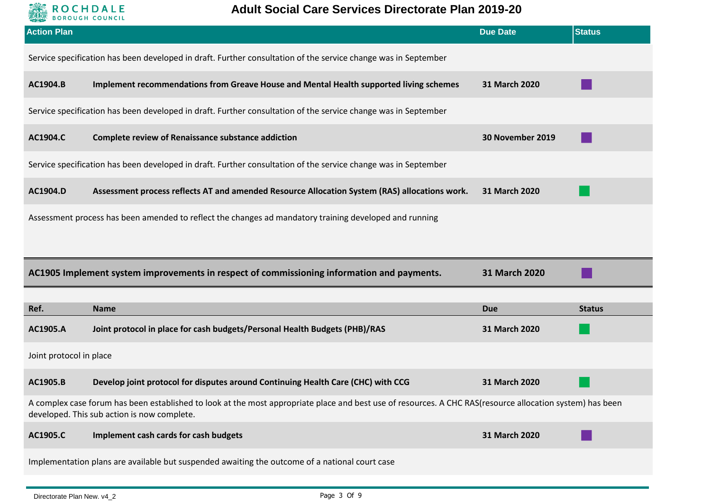

| <b>Action Plan</b>      |                                                                                                                                                                                                          | <b>Due Date</b>  | <b>Status</b> |
|-------------------------|----------------------------------------------------------------------------------------------------------------------------------------------------------------------------------------------------------|------------------|---------------|
|                         | Service specification has been developed in draft. Further consultation of the service change was in September                                                                                           |                  |               |
| AC1904.B                | Implement recommendations from Greave House and Mental Health supported living schemes                                                                                                                   | 31 March 2020    |               |
|                         | Service specification has been developed in draft. Further consultation of the service change was in September                                                                                           |                  |               |
| AC1904.C                | <b>Complete review of Renaissance substance addiction</b>                                                                                                                                                | 30 November 2019 |               |
|                         | Service specification has been developed in draft. Further consultation of the service change was in September                                                                                           |                  |               |
| AC1904.D                | Assessment process reflects AT and amended Resource Allocation System (RAS) allocations work.                                                                                                            | 31 March 2020    |               |
|                         | Assessment process has been amended to reflect the changes ad mandatory training developed and running                                                                                                   |                  |               |
|                         |                                                                                                                                                                                                          |                  |               |
|                         |                                                                                                                                                                                                          |                  |               |
|                         | AC1905 Implement system improvements in respect of commissioning information and payments.                                                                                                               | 31 March 2020    |               |
|                         |                                                                                                                                                                                                          |                  |               |
| Ref.                    | <b>Name</b>                                                                                                                                                                                              | <b>Due</b>       | <b>Status</b> |
| AC1905.A                | Joint protocol in place for cash budgets/Personal Health Budgets (PHB)/RAS                                                                                                                               | 31 March 2020    |               |
| Joint protocol in place |                                                                                                                                                                                                          |                  |               |
| AC1905.B                | Develop joint protocol for disputes around Continuing Health Care (CHC) with CCG                                                                                                                         | 31 March 2020    |               |
|                         | A complex case forum has been established to look at the most appropriate place and best use of resources. A CHC RAS(resource allocation system) has been<br>developed. This sub action is now complete. |                  |               |
| AC1905.C                | Implement cash cards for cash budgets                                                                                                                                                                    | 31 March 2020    |               |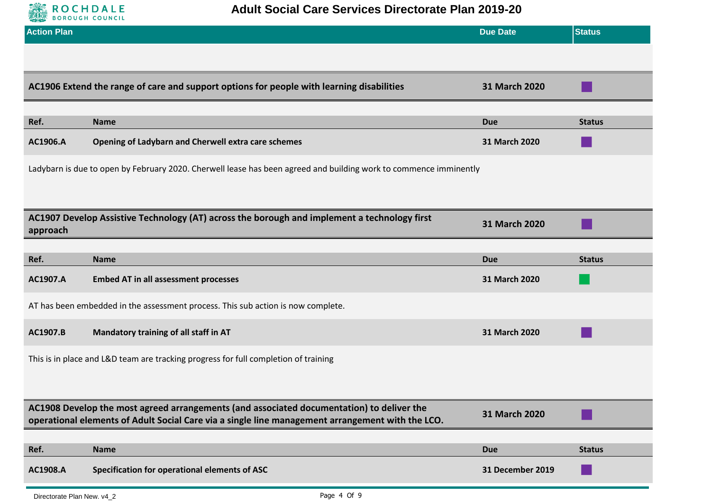

| <b>Action Plan</b> |                                                                                                                                                                                               | <b>Due Date</b>  | <b>Status</b> |
|--------------------|-----------------------------------------------------------------------------------------------------------------------------------------------------------------------------------------------|------------------|---------------|
|                    |                                                                                                                                                                                               |                  |               |
|                    | AC1906 Extend the range of care and support options for people with learning disabilities                                                                                                     | 31 March 2020    |               |
| Ref.               | <b>Name</b>                                                                                                                                                                                   | <b>Due</b>       | <b>Status</b> |
| AC1906.A           | Opening of Ladybarn and Cherwell extra care schemes                                                                                                                                           | 31 March 2020    |               |
|                    | Ladybarn is due to open by February 2020. Cherwell lease has been agreed and building work to commence imminently                                                                             |                  |               |
|                    |                                                                                                                                                                                               |                  |               |
| approach           | AC1907 Develop Assistive Technology (AT) across the borough and implement a technology first                                                                                                  | 31 March 2020    |               |
|                    |                                                                                                                                                                                               |                  |               |
| Ref.               | <b>Name</b>                                                                                                                                                                                   | <b>Due</b>       | <b>Status</b> |
| AC1907.A           | <b>Embed AT in all assessment processes</b>                                                                                                                                                   | 31 March 2020    |               |
|                    | AT has been embedded in the assessment process. This sub action is now complete.                                                                                                              |                  |               |
| AC1907.B           | Mandatory training of all staff in AT                                                                                                                                                         | 31 March 2020    |               |
|                    | This is in place and L&D team are tracking progress for full completion of training                                                                                                           |                  |               |
|                    |                                                                                                                                                                                               |                  |               |
|                    | AC1908 Develop the most agreed arrangements (and associated documentation) to deliver the<br>operational elements of Adult Social Care via a single line management arrangement with the LCO. | 31 March 2020    |               |
|                    |                                                                                                                                                                                               |                  |               |
| Ref.               | <b>Name</b>                                                                                                                                                                                   | <b>Due</b>       | <b>Status</b> |
| AC1908.A           | Specification for operational elements of ASC                                                                                                                                                 | 31 December 2019 |               |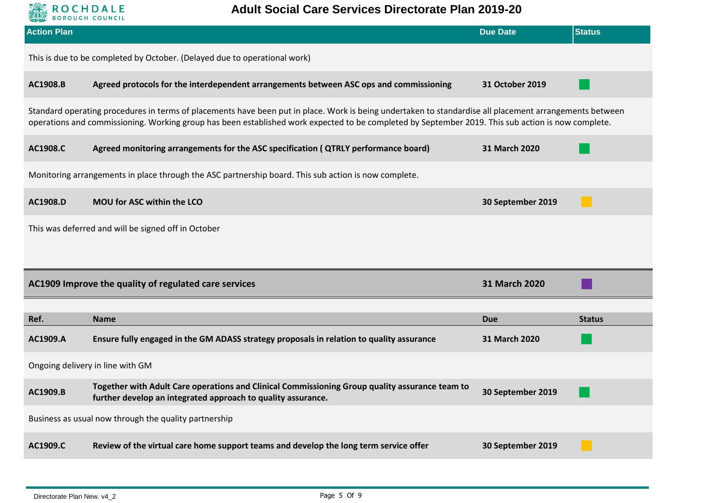

| <b>Action Plan</b>                                                        |                                                                                                                                                                                                                                                                                                               | <b>Due Date</b>      | <b>Status</b> |  |  |
|---------------------------------------------------------------------------|---------------------------------------------------------------------------------------------------------------------------------------------------------------------------------------------------------------------------------------------------------------------------------------------------------------|----------------------|---------------|--|--|
| This is due to be completed by October. (Delayed due to operational work) |                                                                                                                                                                                                                                                                                                               |                      |               |  |  |
| AC1908.B                                                                  | Agreed protocols for the interdependent arrangements between ASC ops and commissioning                                                                                                                                                                                                                        | 31 October 2019      |               |  |  |
|                                                                           | Standard operating procedures in terms of placements have been put in place. Work is being undertaken to standardise all placement arrangements between<br>operations and commissioning. Working group has been established work expected to be completed by September 2019. This sub action is now complete. |                      |               |  |  |
| AC1908.C                                                                  | Agreed monitoring arrangements for the ASC specification ( QTRLY performance board)                                                                                                                                                                                                                           | <b>31 March 2020</b> |               |  |  |
|                                                                           | Monitoring arrangements in place through the ASC partnership board. This sub action is now complete.                                                                                                                                                                                                          |                      |               |  |  |
| AC1908.D                                                                  | MOU for ASC within the LCO                                                                                                                                                                                                                                                                                    | 30 September 2019    |               |  |  |
|                                                                           | This was deferred and will be signed off in October                                                                                                                                                                                                                                                           |                      |               |  |  |
|                                                                           |                                                                                                                                                                                                                                                                                                               |                      |               |  |  |
|                                                                           | 31 March 2020<br>AC1909 Improve the quality of regulated care services                                                                                                                                                                                                                                        |                      |               |  |  |
| Ref.                                                                      | <b>Name</b>                                                                                                                                                                                                                                                                                                   | <b>Due</b>           | <b>Status</b> |  |  |
| AC1909.A                                                                  | Ensure fully engaged in the GM ADASS strategy proposals in relation to quality assurance                                                                                                                                                                                                                      | <b>31 March 2020</b> |               |  |  |
| Ongoing delivery in line with GM                                          |                                                                                                                                                                                                                                                                                                               |                      |               |  |  |
| AC1909.B                                                                  | Together with Adult Care operations and Clinical Commissioning Group quality assurance team to<br>further develop an integrated approach to quality assurance.                                                                                                                                                | 30 September 2019    |               |  |  |
|                                                                           | Business as usual now through the quality partnership                                                                                                                                                                                                                                                         |                      |               |  |  |
| AC1909.C                                                                  | Review of the virtual care home support teams and develop the long term service offer                                                                                                                                                                                                                         | 30 September 2019    |               |  |  |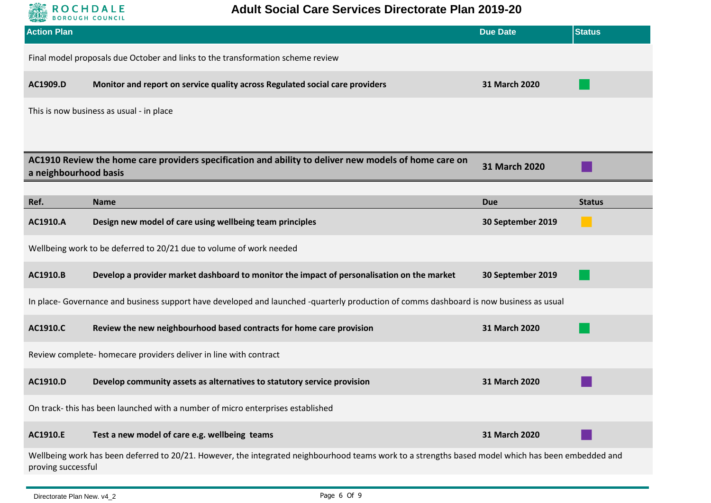

| <b>Action Plan</b>                                                              |                                                                                                                                                    | <b>Due Date</b>      | <b>Status</b> |  |
|---------------------------------------------------------------------------------|----------------------------------------------------------------------------------------------------------------------------------------------------|----------------------|---------------|--|
| Final model proposals due October and links to the transformation scheme review |                                                                                                                                                    |                      |               |  |
| AC1909.D                                                                        | Monitor and report on service quality across Regulated social care providers                                                                       | 31 March 2020        |               |  |
|                                                                                 | This is now business as usual - in place                                                                                                           |                      |               |  |
|                                                                                 |                                                                                                                                                    |                      |               |  |
| a neighbourhood basis                                                           | AC1910 Review the home care providers specification and ability to deliver new models of home care on                                              | <b>31 March 2020</b> |               |  |
|                                                                                 |                                                                                                                                                    |                      |               |  |
| Ref.                                                                            | <b>Name</b>                                                                                                                                        | <b>Due</b>           | <b>Status</b> |  |
| AC1910.A                                                                        | Design new model of care using wellbeing team principles                                                                                           | 30 September 2019    |               |  |
|                                                                                 | Wellbeing work to be deferred to 20/21 due to volume of work needed                                                                                |                      |               |  |
| AC1910.B                                                                        | Develop a provider market dashboard to monitor the impact of personalisation on the market                                                         | 30 September 2019    |               |  |
|                                                                                 | In place- Governance and business support have developed and launched -quarterly production of comms dashboard is now business as usual            |                      |               |  |
| AC1910.C                                                                        | Review the new neighbourhood based contracts for home care provision                                                                               | 31 March 2020        |               |  |
|                                                                                 | Review complete- homecare providers deliver in line with contract                                                                                  |                      |               |  |
| AC1910.D                                                                        | Develop community assets as alternatives to statutory service provision                                                                            | 31 March 2020        |               |  |
| On track-this has been launched with a number of micro enterprises established  |                                                                                                                                                    |                      |               |  |
| AC1910.E                                                                        | Test a new model of care e.g. wellbeing teams                                                                                                      | 31 March 2020        |               |  |
| proving successful                                                              | Wellbeing work has been deferred to 20/21. However, the integrated neighbourhood teams work to a strengths based model which has been embedded and |                      |               |  |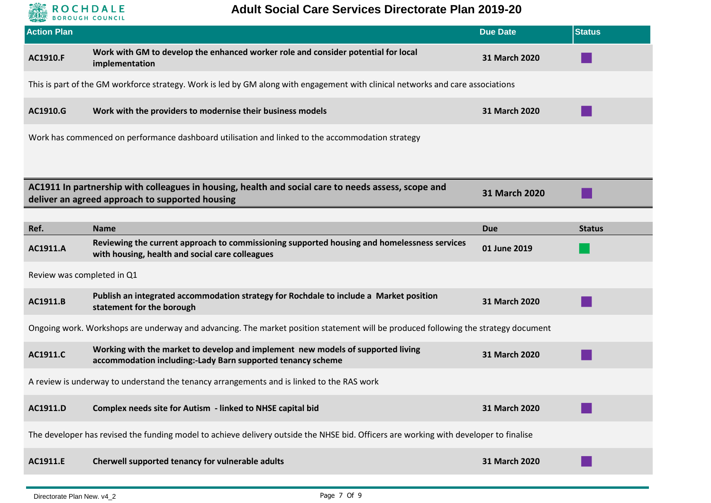

## **Adult Social Care Services Directorate Plan 2019-20**

| <b>Action Plan</b>         |                                                                                                                                                        | <b>Due Date</b> | <b>Status</b> |
|----------------------------|--------------------------------------------------------------------------------------------------------------------------------------------------------|-----------------|---------------|
| <b>AC1910.F</b>            | Work with GM to develop the enhanced worker role and consider potential for local<br>implementation                                                    | 31 March 2020   |               |
|                            | This is part of the GM workforce strategy. Work is led by GM along with engagement with clinical networks and care associations                        |                 |               |
| AC1910.G                   | Work with the providers to modernise their business models                                                                                             | 31 March 2020   |               |
|                            | Work has commenced on performance dashboard utilisation and linked to the accommodation strategy                                                       |                 |               |
|                            |                                                                                                                                                        |                 |               |
|                            | AC1911 In partnership with colleagues in housing, health and social care to needs assess, scope and<br>deliver an agreed approach to supported housing | 31 March 2020   |               |
|                            |                                                                                                                                                        |                 |               |
| Ref.                       | <b>Name</b>                                                                                                                                            | <b>Due</b>      | <b>Status</b> |
| AC1911.A                   | Reviewing the current approach to commissioning supported housing and homelessness services<br>with housing, health and social care colleagues         | 01 June 2019    |               |
| Review was completed in Q1 |                                                                                                                                                        |                 |               |
| AC1911.B                   | Publish an integrated accommodation strategy for Rochdale to include a Market position<br>statement for the borough                                    | 31 March 2020   |               |
|                            | Ongoing work. Workshops are underway and advancing. The market position statement will be produced following the strategy document                     |                 |               |
| AC1911.C                   | Working with the market to develop and implement new models of supported living<br>accommodation including:-Lady Barn supported tenancy scheme         | 31 March 2020   |               |
|                            | A review is underway to understand the tenancy arrangements and is linked to the RAS work                                                              |                 |               |
| AC1911.D                   | Complex needs site for Autism - linked to NHSE capital bid                                                                                             | 31 March 2020   |               |
|                            | The developer has revised the funding model to achieve delivery outside the NHSE bid. Officers are working with developer to finalise                  |                 |               |
| AC1911.E                   | Cherwell supported tenancy for vulnerable adults                                                                                                       | 31 March 2020   |               |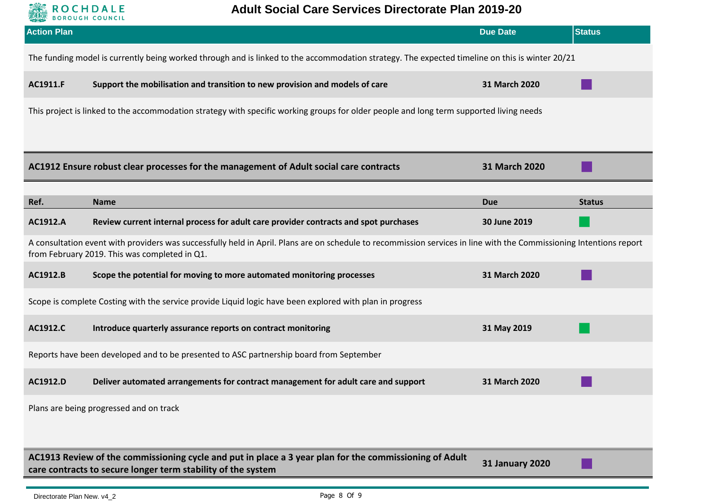

| <b>Action Plan</b>                                                                                                                             |                                                                                                                                                                                                                      | <b>Due Date</b>        | <b>Status</b> |  |
|------------------------------------------------------------------------------------------------------------------------------------------------|----------------------------------------------------------------------------------------------------------------------------------------------------------------------------------------------------------------------|------------------------|---------------|--|
| The funding model is currently being worked through and is linked to the accommodation strategy. The expected timeline on this is winter 20/21 |                                                                                                                                                                                                                      |                        |               |  |
| AC1911.F                                                                                                                                       | Support the mobilisation and transition to new provision and models of care                                                                                                                                          | 31 March 2020          |               |  |
|                                                                                                                                                | This project is linked to the accommodation strategy with specific working groups for older people and long term supported living needs                                                                              |                        |               |  |
|                                                                                                                                                |                                                                                                                                                                                                                      |                        |               |  |
|                                                                                                                                                | AC1912 Ensure robust clear processes for the management of Adult social care contracts                                                                                                                               | 31 March 2020          |               |  |
| Ref.                                                                                                                                           | <b>Name</b>                                                                                                                                                                                                          | <b>Due</b>             | <b>Status</b> |  |
| AC1912.A                                                                                                                                       | Review current internal process for adult care provider contracts and spot purchases                                                                                                                                 | 30 June 2019           |               |  |
|                                                                                                                                                | A consultation event with providers was successfully held in April. Plans are on schedule to recommission services in line with the Commissioning Intentions report<br>from February 2019. This was completed in Q1. |                        |               |  |
| AC1912.B                                                                                                                                       | Scope the potential for moving to more automated monitoring processes                                                                                                                                                | 31 March 2020          |               |  |
|                                                                                                                                                | Scope is complete Costing with the service provide Liquid logic have been explored with plan in progress                                                                                                             |                        |               |  |
| AC1912.C                                                                                                                                       | Introduce quarterly assurance reports on contract monitoring                                                                                                                                                         | 31 May 2019            |               |  |
|                                                                                                                                                | Reports have been developed and to be presented to ASC partnership board from September                                                                                                                              |                        |               |  |
| AC1912.D                                                                                                                                       | Deliver automated arrangements for contract management for adult care and support                                                                                                                                    | 31 March 2020          |               |  |
| Plans are being progressed and on track                                                                                                        |                                                                                                                                                                                                                      |                        |               |  |
|                                                                                                                                                |                                                                                                                                                                                                                      |                        |               |  |
|                                                                                                                                                | AC1913 Review of the commissioning cycle and put in place a 3 year plan for the commissioning of Adult<br>care contracts to secure longer term stability of the system                                               | <b>31 January 2020</b> |               |  |
|                                                                                                                                                |                                                                                                                                                                                                                      |                        |               |  |